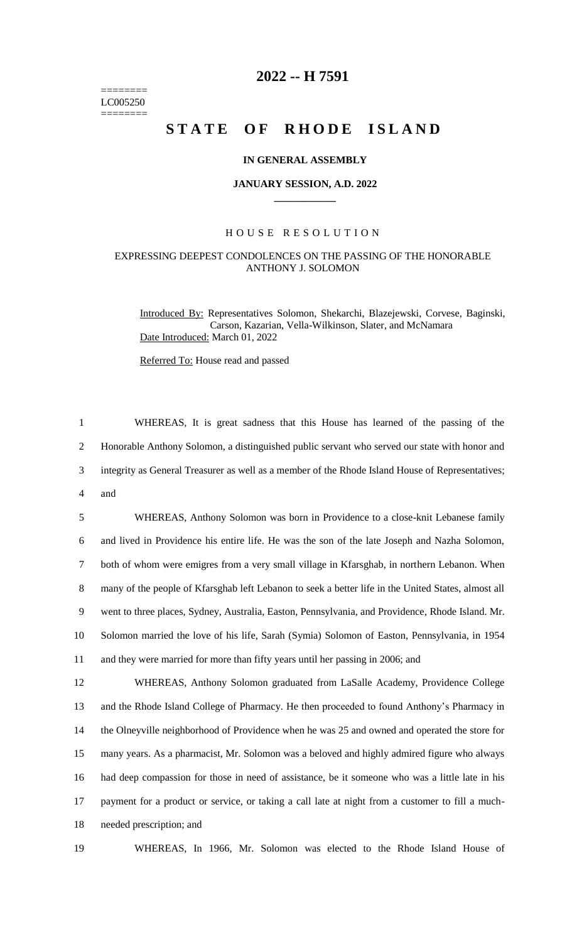======== LC005250 ========

# **2022 -- H 7591**

# **STATE OF RHODE ISLAND**

### **IN GENERAL ASSEMBLY**

#### **JANUARY SESSION, A.D. 2022 \_\_\_\_\_\_\_\_\_\_\_\_**

## H O U S E R E S O L U T I O N

# EXPRESSING DEEPEST CONDOLENCES ON THE PASSING OF THE HONORABLE ANTHONY J. SOLOMON

Introduced By: Representatives Solomon, Shekarchi, Blazejewski, Corvese, Baginski, Carson, Kazarian, Vella-Wilkinson, Slater, and McNamara Date Introduced: March 01, 2022

Referred To: House read and passed

 WHEREAS, It is great sadness that this House has learned of the passing of the Honorable Anthony Solomon, a distinguished public servant who served our state with honor and integrity as General Treasurer as well as a member of the Rhode Island House of Representatives; 4 and

 WHEREAS, Anthony Solomon was born in Providence to a close-knit Lebanese family and lived in Providence his entire life. He was the son of the late Joseph and Nazha Solomon, both of whom were emigres from a very small village in Kfarsghab, in northern Lebanon. When many of the people of Kfarsghab left Lebanon to seek a better life in the United States, almost all went to three places, Sydney, Australia, Easton, Pennsylvania, and Providence, Rhode Island. Mr. Solomon married the love of his life, Sarah (Symia) Solomon of Easton, Pennsylvania, in 1954 and they were married for more than fifty years until her passing in 2006; and

 WHEREAS, Anthony Solomon graduated from LaSalle Academy, Providence College and the Rhode Island College of Pharmacy. He then proceeded to found Anthony's Pharmacy in the Olneyville neighborhood of Providence when he was 25 and owned and operated the store for many years. As a pharmacist, Mr. Solomon was a beloved and highly admired figure who always had deep compassion for those in need of assistance, be it someone who was a little late in his payment for a product or service, or taking a call late at night from a customer to fill a much-needed prescription; and

19 WHEREAS, In 1966, Mr. Solomon was elected to the Rhode Island House of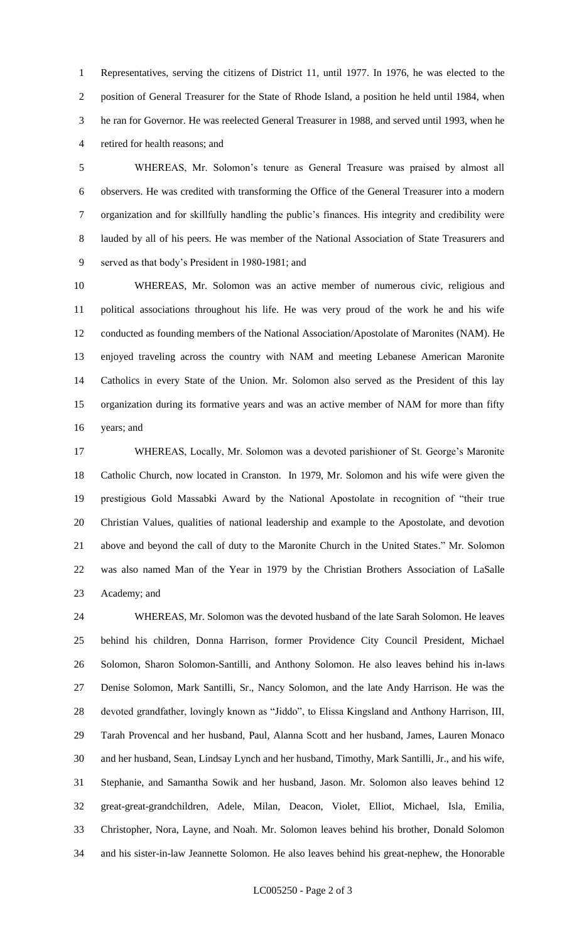Representatives, serving the citizens of District 11, until 1977. In 1976, he was elected to the position of General Treasurer for the State of Rhode Island, a position he held until 1984, when he ran for Governor. He was reelected General Treasurer in 1988, and served until 1993, when he retired for health reasons; and

 WHEREAS, Mr. Solomon's tenure as General Treasure was praised by almost all observers. He was credited with transforming the Office of the General Treasurer into a modern organization and for skillfully handling the public's finances. His integrity and credibility were lauded by all of his peers. He was member of the National Association of State Treasurers and served as that body's President in 1980-1981; and

 WHEREAS, Mr. Solomon was an active member of numerous civic, religious and political associations throughout his life. He was very proud of the work he and his wife conducted as founding members of the National Association/Apostolate of Maronites (NAM). He enjoyed traveling across the country with NAM and meeting Lebanese American Maronite Catholics in every State of the Union. Mr. Solomon also served as the President of this lay organization during its formative years and was an active member of NAM for more than fifty years; and

 WHEREAS, Locally, Mr. Solomon was a devoted parishioner of St. George's Maronite Catholic Church, now located in Cranston. In 1979, Mr. Solomon and his wife were given the prestigious Gold Massabki Award by the National Apostolate in recognition of "their true Christian Values, qualities of national leadership and example to the Apostolate, and devotion above and beyond the call of duty to the Maronite Church in the United States." Mr. Solomon was also named Man of the Year in 1979 by the Christian Brothers Association of LaSalle Academy; and

 WHEREAS, Mr. Solomon was the devoted husband of the late Sarah Solomon. He leaves behind his children, Donna Harrison, former Providence City Council President, Michael Solomon, Sharon Solomon-Santilli, and Anthony Solomon. He also leaves behind his in-laws Denise Solomon, Mark Santilli, Sr., Nancy Solomon, and the late Andy Harrison. He was the devoted grandfather, lovingly known as "Jiddo", to Elissa Kingsland and Anthony Harrison, III, Tarah Provencal and her husband, Paul, Alanna Scott and her husband, James, Lauren Monaco and her husband, Sean, Lindsay Lynch and her husband, Timothy, Mark Santilli, Jr., and his wife, Stephanie, and Samantha Sowik and her husband, Jason. Mr. Solomon also leaves behind 12 great-great-grandchildren, Adele, Milan, Deacon, Violet, Elliot, Michael, Isla, Emilia, Christopher, Nora, Layne, and Noah. Mr. Solomon leaves behind his brother, Donald Solomon and his sister-in-law Jeannette Solomon. He also leaves behind his great-nephew, the Honorable